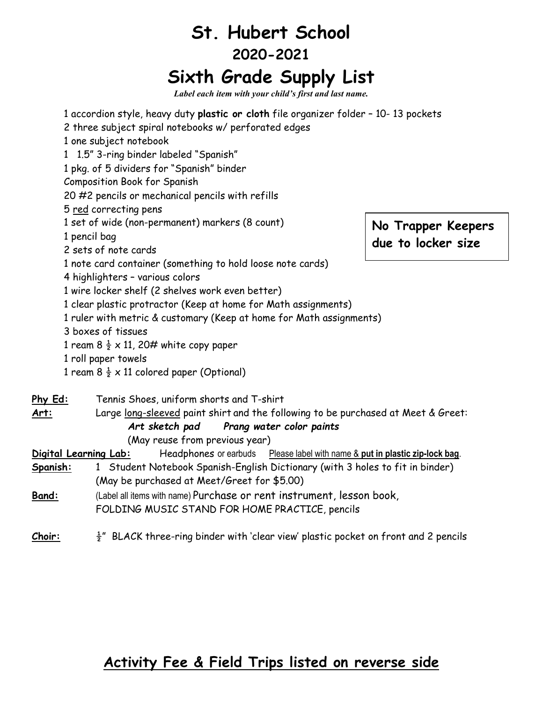## **St. Hubert School 2020-2021 Sixth Grade Supply List**

*Label each item with your child's first and last name.*

|                          | 1 accordion style, heavy duty plastic or cloth file organizer folder - 10-13 pockets<br>2 three subject spiral notebooks w/ perforated edges<br>1 one subject notebook<br>1 1.5" 3-ring binder labeled "Spanish"<br>1 pkg. of 5 dividers for "Spanish" binder<br><b>Composition Book for Spanish</b><br>20 #2 pencils or mechanical pencils with refills<br>5 red correcting pens                                                                               |                                          |
|--------------------------|-----------------------------------------------------------------------------------------------------------------------------------------------------------------------------------------------------------------------------------------------------------------------------------------------------------------------------------------------------------------------------------------------------------------------------------------------------------------|------------------------------------------|
|                          | 1 set of wide (non-permanent) markers (8 count)<br>1 pencil bag<br>2 sets of note cards                                                                                                                                                                                                                                                                                                                                                                         | No Trapper Keepers<br>due to locker size |
|                          | 1 note card container (something to hold loose note cards)<br>4 highlighters - various colors<br>1 wire locker shelf (2 shelves work even better)<br>1 clear plastic protractor (Keep at home for Math assignments)<br>1 ruler with metric & customary (Keep at home for Math assignments)<br>3 boxes of tissues<br>1 ream 8 $\frac{1}{2} \times 11$ , 20# white copy paper<br>1 roll paper towels<br>1 ream 8 $\frac{1}{2} \times 11$ colored paper (Optional) |                                          |
| <u>Phy Ed:</u>           | Tennis Shoes, uniform shorts and T-shirt                                                                                                                                                                                                                                                                                                                                                                                                                        |                                          |
| <u>Art:</u>              | Large long-sleeved paint shirt and the following to be purchased at Meet & Greet:                                                                                                                                                                                                                                                                                                                                                                               |                                          |
|                          | Art sketch pad<br>Prang water color paints                                                                                                                                                                                                                                                                                                                                                                                                                      |                                          |
|                          | (May reuse from previous year)<br>Digital Learning Lab:                                                                                                                                                                                                                                                                                                                                                                                                         |                                          |
| <u>Spanish:</u><br>Band: | Headphones or earbuds  Please label with name & put in plastic zip-lock bag.<br>1 Student Notebook Spanish-English Dictionary (with 3 holes to fit in binder)<br>(May be purchased at Meet/Greet for \$5.00)<br>(Label all items with name) Purchase or rent instrument, lesson book,<br>FOLDING MUSIC STAND FOR HOME PRACTICE, pencils                                                                                                                         |                                          |
| Choir:                   | $\frac{1}{2}$ " BLACK three-ring binder with 'clear view' plastic pocket on front and 2 pencils                                                                                                                                                                                                                                                                                                                                                                 |                                          |

## **Activity Fee & Field Trips listed on reverse side**